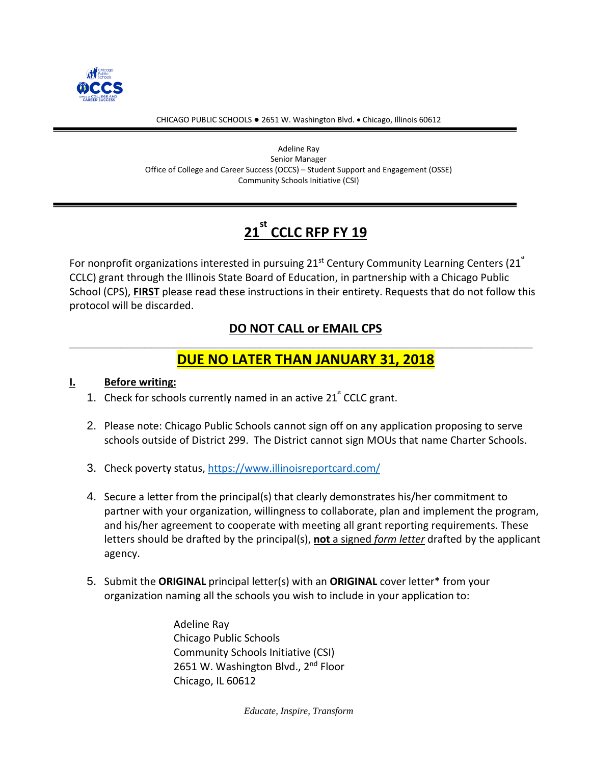

#### CHICAGO PUBLIC SCHOOLS ● 2651 W. Washington Blvd. • Chicago, Illinois 60612

Adeline Ray Senior Manager Office of College and Career Success (OCCS) – Student Support and Engagement (OSSE) Community Schools Initiative (CSI)

# **21 st CCLC RFP FY 19**

For nonprofit organizations interested in pursuing  $21<sup>st</sup>$  Century Community Learning Centers (21 $<sup>st</sup>$ </sup> CCLC) grant through the Illinois State Board of Education, in partnership with a Chicago Public School (CPS), **FIRST** please read these instructions in their entirety. Requests that do not follow this protocol will be discarded.

### **DO NOT CALL or EMAIL CPS** \_\_\_\_\_\_\_\_\_\_\_\_\_\_\_\_\_\_\_\_\_\_\_\_\_\_\_\_\_\_\_\_\_\_\_\_\_\_\_\_\_\_\_\_\_\_\_\_\_\_\_\_\_\_\_\_\_\_\_\_\_\_\_\_\_\_\_\_\_\_\_\_\_\_\_\_\_\_\_\_

## **DUE NO LATER THAN JANUARY 31, 2018**

#### **I. Before writing:**

- 1. Check for schools currently named in an active  $21^{\circ}$  CCLC grant.
- 2. Please note: Chicago Public Schools cannot sign off on any application proposing to serve schools outside of District 299. The District cannot sign MOUs that name Charter Schools.
- 3. Check poverty status,<https://www.illinoisreportcard.com/>
- 4. Secure a letter from the principal(s) that clearly demonstrates his/her commitment to partner with your organization, willingness to collaborate, plan and implement the program, and his/her agreement to cooperate with meeting all grant reporting requirements. These letters should be drafted by the principal(s), **not** a signed *form letter* drafted by the applicant agency.
- 5. Submit the **ORIGINAL** principal letter(s) with an **ORIGINAL** cover letter\* from your organization naming all the schools you wish to include in your application to:

Adeline Ray Chicago Public Schools Community Schools Initiative (CSI) 2651 W. Washington Blvd., 2<sup>nd</sup> Floor Chicago, IL 60612

*Educate, Inspire, Transform*